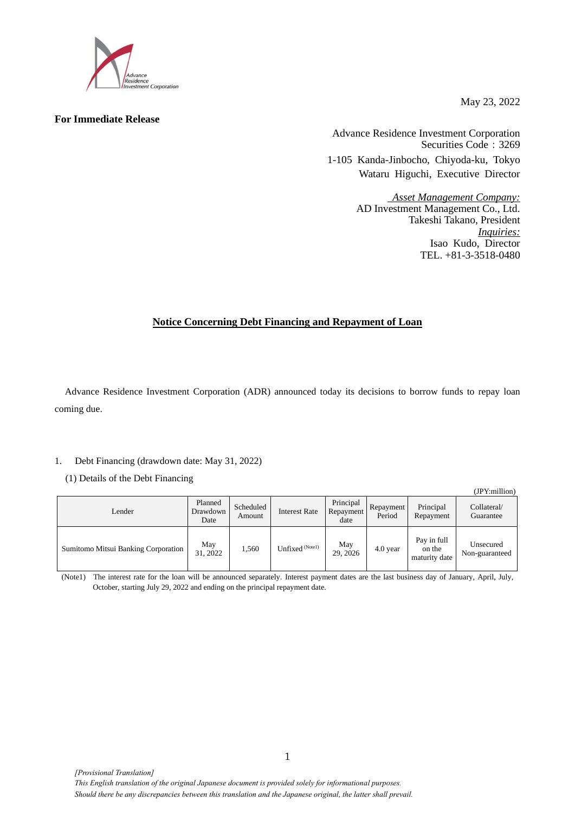

## **For Immediate Release**

May 23, 2022

Advance Residence Investment Corporation Securities Code: 3269 1-105 Kanda-Jinbocho, Chiyoda-ku, Tokyo Wataru Higuchi, Executive Director

> *Asset Management Company:* AD Investment Management Co., Ltd. Takeshi Takano, President *Inquiries:* Isao Kudo, Director TEL. +81-3-3518-0480

# **Notice Concerning Debt Financing and Repayment of Loan**

Advance Residence Investment Corporation (ADR) announced today its decisions to borrow funds to repay loan coming due.

## 1. Debt Financing (drawdown date: May 31, 2022)

(1) Details of the Debt Financing

|                                     |                             |                     |                      |                                |                     |                                        | (JPY:million)               |
|-------------------------------------|-----------------------------|---------------------|----------------------|--------------------------------|---------------------|----------------------------------------|-----------------------------|
| Lender                              | Planned<br>Drawdown<br>Date | Scheduled<br>Amount | <b>Interest Rate</b> | Principal<br>Repayment<br>date | Repayment<br>Period | Principal<br>Repayment                 | Collateral/<br>Guarantee    |
| Sumitomo Mitsui Banking Corporation | May<br>31, 2022             | 1,560               | Unfixed (Notel)      | May<br>29, 2026                | 4.0 year            | Pay in full<br>on the<br>maturity date | Unsecured<br>Non-guaranteed |

(Note1) The interest rate for the loan will be announced separately. Interest payment dates are the last business day of January, April, July, October, starting July 29, 2022 and ending on the principal repayment date.